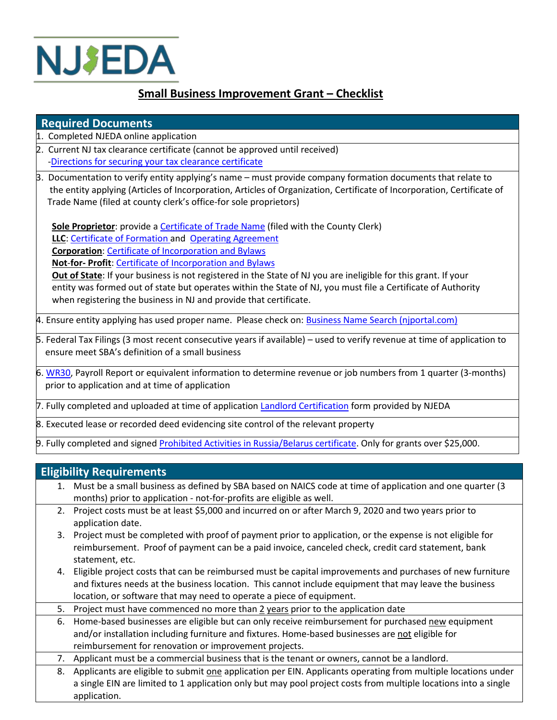

## **Small Business Improvement Grant – Checklist**

## **Required Documents**

- 1. Completed NJEDA online application
- 2. Current NJ tax clearance certificate (cannot be approved until received) [-Directions for securing your tax clearance certificate](https://www.njeda.com/wp-content/uploads/2021/08/Securing-Your-Tax-Clearance-Certificate-Directions-Client.pdf)
- 3. Docum[entation to verify entity applying's name –](https://njeda.sharepoint.com/:b:/s/njedanet/departments/businessdev/EVy-7OKxardJhvja03XXxocB6mUQdglUdz-dY71sA4_eSg) must provide company formation documents that relate to the entity applying (Articles of Incorporation, Articles of Organization, Certificate of Incorporation, Certificat the entity applying (Articles of Incorporation, Articles of Organization, Certificate of Incorporation, Certificate of Trade Name (filed at county clerk's office-for sole proprietors)

 **Sole Proprietor**: provide a [Certificate of Trade Name](https://www.njeda.com/wp-content/uploads/2021/09/Certificate-of-Trade-Name-Sole-Prop_Redacted.pdf) (filed with the County Clerk)  **LLC**: [Certificate of Formation a](https://www.njeda.com/wp-content/uploads/2021/09/Certificate-of-Formation-LLC_Redacted.pdf)nd [Operating Agreement](https://www.njeda.com/wp-content/uploads/2021/09/Operating-Agreement-LLC_Redacted.pdf)  **Corporation**[: Certificate of Incorporation and Bylaws](https://www.njeda.com/wp-content/uploads/2021/09/Certificate-of-Incorporation-Corporation_Redacted.pdf)  **Not**-**for- Profit**: [Certificate of Incorporation and Bylaws](https://www.njeda.com/wp-content/uploads/2021/09/Certificate-of-Incorporation-Not-for-Profit_Redacted.pdf)

 **Out of State**: If your business is not registered in the State of NJ you are ineligible for this grant. If your entity was formed out of state but operates within the State of NJ, you must file a Certificate of Authority when registering the business in NJ and provide that certificate.

4. Ensure entity applying has used proper name. Please check on: **Business Name Search (njportal.com)** 

5. Federal Tax Filings (3 most recent consecutive years if available) – used to verify revenue at time of application to ensure meet SBA's definition of a small business

6[. WR30,](https://nj.gov/labor/handbook/chap1/chap1sec2WageReporting.html) Payroll Report or equivalent information to determine revenue or job numbers from 1 quarter (3-months) prior to application and at time of application

7. Fully completed and uploaded at time of application [Landlord Certification](https://www.njeda.com/wp-content/uploads/2021/10/Landlord-Certification-Form-Business-Improvement-Grant-Final.pdf) form provided by NJEDA

8. Executed lease or recorded deed evidencing site control of the relevant property

9. Fully completed and signed [Prohibited Activities in Russia/Belarus certificate.](https://www.njeda.com/p-l-2022-c-3-certification-form/) Only for grants over \$25,000.

## **Eligibility Requirements**

- 1. Must be a small business as defined by SBA based on NAICS code at time of application and one quarter (3 months) prior to application - not-for-profits are eligible as well.
- 2. Project costs must be at least \$5,000 and incurred on or after March 9, 2020 and two years prior to application date.
- 3. Project must be completed with proof of payment prior to application, or the expense is not eligible for reimbursement. Proof of payment can be a paid invoice, canceled check, credit card statement, bank statement, etc.
- 4. Eligible project costs that can be reimbursed must be capital improvements and purchases of new furniture and fixtures needs at the business location. This cannot include equipment that may leave the business location, or software that may need to operate a piece of equipment.
- 5. Project must have commenced no more than 2 years prior to the application date
- 6. Home-based businesses are eligible but can only receive reimbursement for purchased new equipment and/or installation including furniture and fixtures. Home-based businesses are not eligible for reimbursement for renovation or improvement projects.
- 7. Applicant must be a commercial business that is the tenant or owners, cannot be a landlord.
- 8. Applicants are eligible to submit one application per EIN. Applicants operating from multiple locations under a single EIN are limited to 1 application only but may pool project costs from multiple locations into a single application.